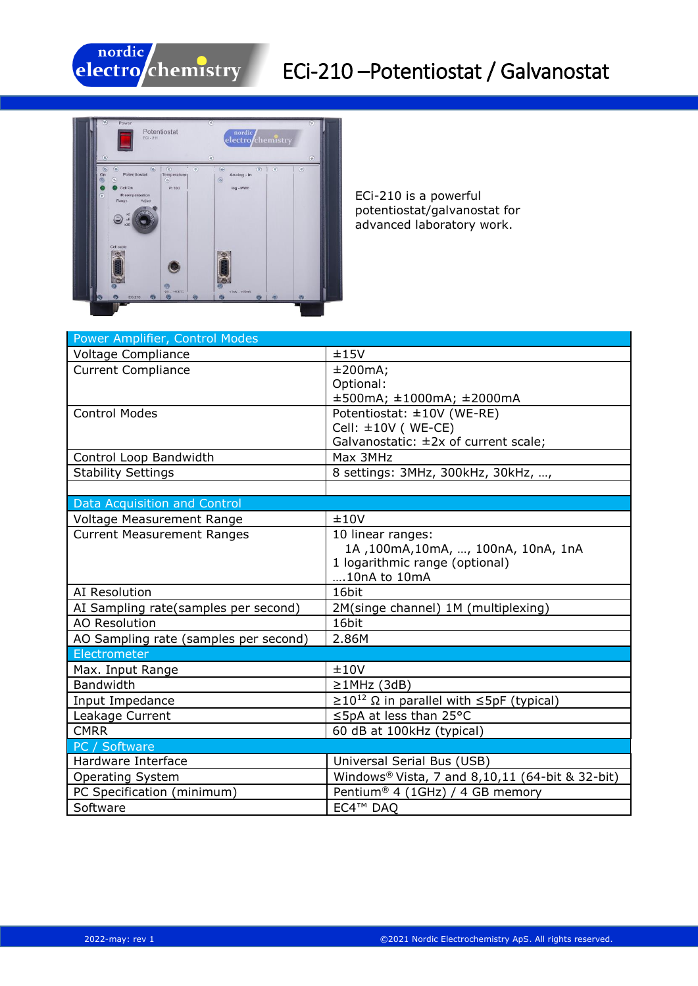

## ECi-210 –Potentiostat / Galvanostat



ECi-210 is a powerful potentiostat/galvanostat for advanced laboratory work.

| Power Amplifier, Control Modes        |                                                                 |
|---------------------------------------|-----------------------------------------------------------------|
| Voltage Compliance                    | ±15V                                                            |
| <b>Current Compliance</b>             | ±200mA;                                                         |
|                                       | Optional:                                                       |
|                                       | ±500mA; ±1000mA; ±2000mA                                        |
| <b>Control Modes</b>                  | Potentiostat: ±10V (WE-RE)                                      |
|                                       | Cell: $\pm 10V$ (WE-CE)                                         |
|                                       | Galvanostatic: $\pm 2x$ of current scale;                       |
| Control Loop Bandwidth                | Max 3MHz                                                        |
| <b>Stability Settings</b>             | 8 settings: 3MHz, 300kHz, 30kHz, ,                              |
|                                       |                                                                 |
| Data Acquisition and Control          |                                                                 |
| Voltage Measurement Range             | ±10V                                                            |
| <b>Current Measurement Ranges</b>     | 10 linear ranges:                                               |
|                                       | 1A, 100mA, 10mA, , 100nA, 10nA, 1nA                             |
|                                       | 1 logarithmic range (optional)                                  |
|                                       | 10nA to 10mA                                                    |
| AI Resolution                         | 16bit                                                           |
| AI Sampling rate(samples per second)  | 2M(singe channel) 1M (multiplexing)                             |
| <b>AO Resolution</b>                  | 16bit                                                           |
| AO Sampling rate (samples per second) | 2.86M                                                           |
| Electrometer                          |                                                                 |
| Max. Input Range                      | ±10V                                                            |
| <b>Bandwidth</b>                      | $\geq$ 1MHz (3dB)                                               |
| Input Impedance                       | $\geq$ 10 <sup>12</sup> Ω in parallel with $\leq$ 5pF (typical) |
| Leakage Current                       | ≤5pA at less than 25°C                                          |
| <b>CMRR</b>                           | 60 dB at 100kHz (typical)                                       |
| PC / Software                         |                                                                 |
| Hardware Interface                    | Universal Serial Bus (USB)                                      |
| Operating System                      | Windows <sup>®</sup> Vista, 7 and $8,10,11$ (64-bit & 32-bit)   |
| PC Specification (minimum)            | Pentium <sup>®</sup> 4 (1GHz) / 4 GB memory                     |
| Software                              | EC4™ DAO                                                        |